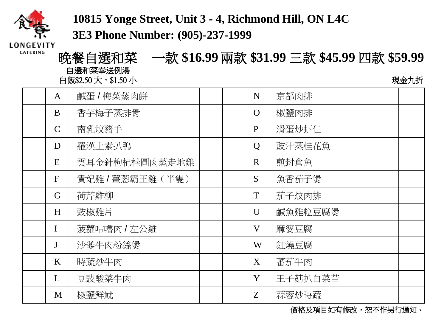

**10815 Yonge Street, Unit 3 - 4, Richmond Hill, ON L4C** 

**3E3 Phone Number: (905)-237-1999**

CATERING

晚餐自選和菜 一款 **\$16.99**兩款 **\$31.99** 三款 **\$45.99** 四款 **\$59.99** 自選和菜奉送例湯 白飯\$2.50 大, \$1.50 小 インファイル しょうしゃ しょうしゃ しゅうしょう うちょう 現金九折

| $\mathbf{A}$ | 鹹蛋 / 梅菜蒸肉餅       |  | N              | 京都肉排    |  |
|--------------|------------------|--|----------------|---------|--|
| B            | 香芋梅子蒸排骨          |  | $\Omega$       | 椒鹽肉排    |  |
| $\mathsf{C}$ | 南乳炆豬手            |  | P              | 滑蛋炒虾仁   |  |
| D            | 羅漢上素扒鴨           |  | $\overline{Q}$ | 豉汁蒸桂花魚  |  |
| E            | 雲耳金針枸杞桂圓肉蒸走地雞    |  | $\mathbf R$    | 煎封倉魚    |  |
| F            | 貴妃雞 / 薑蔥霸王雞 (半隻) |  | S              | 魚香茄子煲   |  |
| G            | 荷芹雞柳             |  | T              | 茄子炆肉排   |  |
| H            | 豉椒雞片             |  | U              | 鹹魚雞粒豆腐煲 |  |
| I            | 菠蘿咕嚕肉 / 左公雞      |  | V              | 麻婆豆腐    |  |
| $\mathbf J$  | 沙爹牛肉粉絲煲          |  | W              | 紅燒豆腐    |  |
| K            | 時蔬炒牛肉            |  | X              | 蓄茄牛肉    |  |
| L            | 豆豉酸菜牛肉           |  | Y              | 王子菇扒白菜苗 |  |
| M            | 椒鹽鮮魷             |  | Z              | 蒜蓉炒時蔬   |  |

價格及項目如有修改,恕不作另行通知。